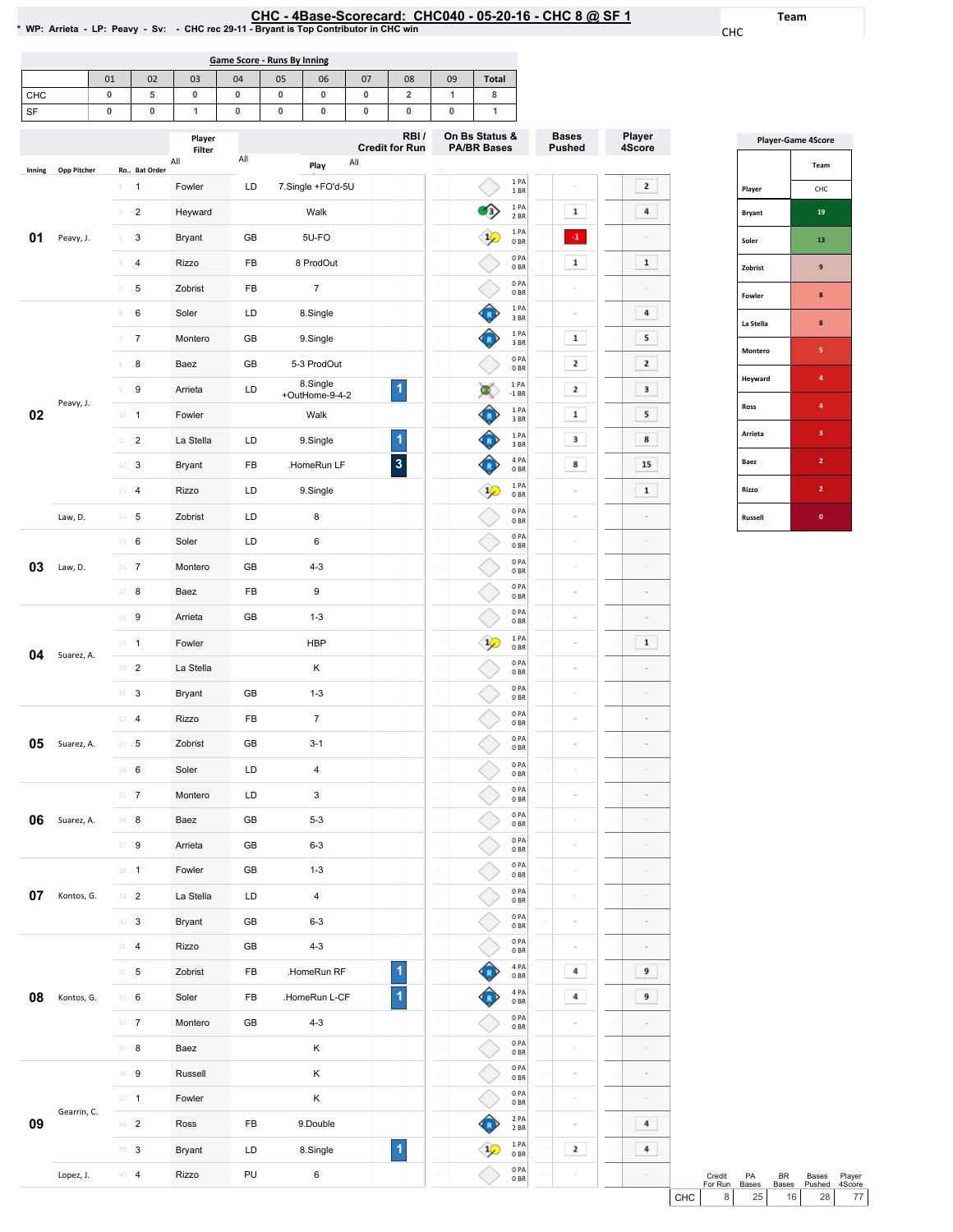## EHC-4Base-Scorecard: CHC040-05-20-16-CHC8 @ SF1<br>\*WP: Arrieta - LP: Peavy - Sv: - CHC rec 29-11 - Bryant is Top Contributor in CHC win

Team

CHC

|                                                                                              | Game Score - Runs By Inning |    |    |    |    |    |    |    |    |              |  |  |  |
|----------------------------------------------------------------------------------------------|-----------------------------|----|----|----|----|----|----|----|----|--------------|--|--|--|
|                                                                                              | 01                          | 02 | 03 | 04 | 05 | 06 | 07 | 08 | 09 | <b>Total</b> |  |  |  |
| <b>CHC</b>                                                                                   |                             |    |    | o  |    |    |    | 2  |    | 8            |  |  |  |
| SF                                                                                           |                             |    |    |    |    | υ  |    | 0  |    |              |  |  |  |
| On Bs Status &<br>RBI/<br>Player<br>$C$ undit fau Dum<br><b>DA/DD Desse</b><br>$\sim$ $\sim$ |                             |    |    |    |    |    |    |    |    |              |  |  |  |

|        |             |                              | Player<br>Filter |     |                            | RBI/<br><b>Credit for Run</b> |               | On Bs Status &<br><b>PA/BR Bases</b> |                         | <b>Bases</b><br><b>Pushed</b> |    | Player<br>4Score |
|--------|-------------|------------------------------|------------------|-----|----------------------------|-------------------------------|---------------|--------------------------------------|-------------------------|-------------------------------|----|------------------|
|        | Opp Pitcher | Ro Bat Order                 | All              | All | All<br>Play                |                               |               |                                      |                         |                               |    |                  |
| Inning |             | $\mathbf{1}$<br>1            | Fowler           | LD  | 7.Single +FO'd-5U          |                               |               |                                      | 1PA<br>1 BR             |                               |    | $\mathbf{2}$     |
|        |             | $\overline{c}$<br>$\sqrt{2}$ | Heyward          |     | Walk                       |                               |               |                                      | 1PA<br>2 BR             | $\mathbf{1}$                  |    | 4                |
| 01     | Peavy, J.   | 3<br>3                       | <b>Bryant</b>    | GB  | 5U-FO                      |                               |               |                                      | 1PA<br>0 BR             | $\cdot 1$                     |    |                  |
|        |             | 4<br>$\Delta$                | <b>Rizzo</b>     | FB  | 8 ProdOut                  |                               |               |                                      | 0PA<br>0 <sub>BR</sub>  | $\mathbf 1$                   |    | $\mathbf{1}$     |
|        |             | 5<br>5                       | Zobrist          | FB  | $\overline{7}$             |                               |               |                                      | 0PA<br>0BR              |                               |    |                  |
|        |             | 6<br>$\,$ $\,$ $\,$          | Soler            | LD  | 8.Single                   |                               |               |                                      | 1 PA<br>3BR             | $\sim$                        |    | 4                |
|        |             | 7<br>7                       | Montero          | GB  | 9.Single                   |                               |               |                                      | 1 PA<br>3BR             | $\mathbf{1}$                  |    | 5                |
|        |             | 8<br>8                       | Baez             | GB  | 5-3 ProdOut                |                               |               |                                      | 0PA<br>0BR              | 2                             |    | $\mathbf{z}$     |
|        | Peavy, J.   | 9<br>$\circledcirc$          | Arrieta          | LD  | 8.Single<br>+OutHome-9-4-2 | 1                             |               |                                      | 1PA<br>$-1$ BR          | $\mathbf{2}$                  |    | 3                |
| 02     |             | $10 - 1$                     | Fowler           |     | Walk                       |                               | 10            |                                      | 1PA<br>3BR              | $\mathbf 1$                   |    | 5                |
|        |             | $\overline{2}$<br>$11\,$     | La Stella        | LD  | 9.Single                   | 1                             | $\frac{1}{2}$ |                                      | 1PA<br>3 BR             | 3                             |    | 8                |
|        |             | 12<br>3                      | <b>Bryant</b>    | FB  | .HomeRun LF                | $\overline{\mathbf{3}}$       | 12            |                                      | 4 PA<br>0 <sub>BR</sub> | 8                             |    | 15               |
|        |             | $\overline{a}$<br>13         | <b>Rizzo</b>     | LD  | 9.Single                   |                               | 13            |                                      | 1 PA<br>0BR             |                               |    | $\mathbf 1$      |
|        | Law, D.     | 5<br>$14 -$                  | Zobrist          | LD  | 8                          |                               | $\mathcal{L}$ |                                      | 0PA<br>0 <sub>BR</sub>  |                               |    |                  |
|        |             | 15<br>6                      | Soler            | LD  | 6                          |                               |               |                                      | 0PA<br>0 <sub>BR</sub>  | $\alpha$                      |    |                  |
| 03     | Law, D.     | $16$ 7                       | Montero          | GB  | $4 - 3$                    |                               | 16            |                                      | 0PA<br>0 <sub>BR</sub>  | $\alpha$                      |    |                  |
|        |             | $17\,$<br>8                  | Baez             | FB  | 9                          |                               |               |                                      | 0PA<br>0 <sub>BR</sub>  |                               |    |                  |
|        |             | 9<br>18                      | Arrieta          | GB  | $1 - 3$                    |                               | 18            |                                      | 0PA<br>0 <sub>BR</sub>  |                               | 18 |                  |
| 04     | Suarez, A.  | 19<br>$\mathbf{1}$           | Fowler           |     | <b>HBP</b>                 |                               | 19            |                                      | 1PA<br>0 <sub>BR</sub>  |                               | 19 | 1                |
|        |             | $\overline{c}$<br>20         | La Stella        |     | Κ                          |                               |               |                                      | 0PA<br>0 <sub>BR</sub>  |                               |    |                  |
|        |             | 3<br>21                      | <b>Bryant</b>    | GB  | $1 - 3$                    |                               | $_{21}$       |                                      | 0PA<br>0BR              | $\alpha$                      |    |                  |
|        |             | $\overline{4}$<br>22         | <b>Rizzo</b>     | FB  | $\boldsymbol{7}$           |                               | $_{22}$       |                                      | 0PA<br>0 <sub>BR</sub>  | $\alpha$                      |    | ë                |
| 05     | Suarez, A.  | $23 - 5$                     | Zobrist          | GB  | $3 - 1$                    |                               | 23            |                                      | 0PA<br>0 <sub>BR</sub>  | $\equiv$                      |    | ä                |
|        |             | 24<br>6                      | Soler            | LD  | 4                          |                               | 24            |                                      | 0PA<br>0 BR             |                               |    |                  |
|        |             | $\overline{7}$<br>25         | Montero          | LD  | 3                          |                               | 25            |                                      | 0PA<br>0 <sub>BR</sub>  |                               |    |                  |
| 06     | Suarez, A.  | 26<br>8                      | Baez             | GB  | $5 - 3$                    |                               | 26            |                                      | 0PA<br>0 BR             |                               |    |                  |
|        |             | $27 - 9$                     | Arrieta          | GB  | $6 - 3$                    |                               |               |                                      | 0PA<br>0 <sub>BR</sub>  |                               |    |                  |
|        |             | $28 - 1$                     | Fowler           | GB  | $1 - 3$                    |                               | 28            |                                      | 0PA<br>0B               | $\sim$                        | 28 | ä                |
| 07     | Kontos, G.  | $\sqrt{2}$<br>29             | La Stella        | LD  | 4                          |                               | 29            |                                      | 0PA<br>0 <sub>BR</sub>  | $\sim$                        |    | $\overline{a}$   |
|        |             | $30-3$                       | Bryant           | GB  | $6 - 3$                    |                               | 30            |                                      | 0PA<br>0 <sub>BR</sub>  | $\equiv$                      |    | $\overline{a}$   |
|        |             | $31 - 4$                     | Rizzo            | GB  | $4 - 3$                    |                               | 31            |                                      | 0PA<br>0B               | $\equiv$                      | 31 | $\overline{a}$   |
|        |             | $32 - 5$                     | Zobrist          | FB  | .HomeRun RF                | 1                             | 32            |                                      | 4 PA<br>0 BR            | 4                             | 32 | 9                |
| 08     | Kontos, G.  | 33 6                         | Soler            | FB  | .HomeRun L-CF              | $\blacktriangleleft$          | 33            |                                      | 4 PA<br>0 <sub>BR</sub> | 4                             |    | 9                |
|        |             | $34 - 7$                     | Montero          | GB  | $4 - 3$                    |                               | 34            |                                      | 0PA<br>0 BR             | $\bar{a}$                     |    | ä                |
|        |             | $35 - 8$                     | Baez             |     | κ                          |                               | 35            |                                      | 0PA<br>0 <sub>BR</sub>  | $\sim$                        |    |                  |
|        |             | 36 9                         | Russell          |     | Κ                          |                               | 36            |                                      | 0PA<br>0 <sub>BR</sub>  | $\sim$                        |    |                  |
|        | Gearrin, C. | $37 - 1$                     | Fowler           |     | Κ                          |                               | 37            |                                      | 0PA<br>0 <sub>BR</sub>  | $\equiv$                      |    | $\overline{a}$   |
| 09     |             | 38 2                         | Ross             | FB  | 9.Double                   |                               | 38            |                                      | 2 PA<br>2 BR            | $\equiv$                      | 38 | 4                |
|        |             | 39 3                         | Bryant           | LD  | 8.Single                   | $\overline{\mathbf{1}}$       | 39            |                                      | 1 PA<br>0 <sub>BR</sub> | 2                             |    | 4                |
|        | Lopez, J.   | $40\quad 4$                  | Rizzo            | PU  | 6                          |                               | 40            |                                      | 0PA<br>0 BR             |                               |    |                  |

| <b>Player-Game 4Score</b> |                         |  |  |  |  |  |  |
|---------------------------|-------------------------|--|--|--|--|--|--|
|                           | Team                    |  |  |  |  |  |  |
| Player                    | CHC                     |  |  |  |  |  |  |
| <b>Bryant</b>             | 19                      |  |  |  |  |  |  |
| Soler                     | 13                      |  |  |  |  |  |  |
| Zobrist                   | 9                       |  |  |  |  |  |  |
| <b>Fowler</b>             | 8                       |  |  |  |  |  |  |
| La Stella                 | 8                       |  |  |  |  |  |  |
| Montero                   | $\overline{\mathbf{5}}$ |  |  |  |  |  |  |
| Heyward                   | 4                       |  |  |  |  |  |  |
| Ross                      | $\overline{a}$          |  |  |  |  |  |  |
| Arrieta                   | з                       |  |  |  |  |  |  |
| Baez                      | $\overline{2}$          |  |  |  |  |  |  |
| Rizzo                     | $\overline{2}$          |  |  |  |  |  |  |
| <b>Russell</b>            | O                       |  |  |  |  |  |  |

|     | Credit<br>For Run | <b>PA</b><br><b>Bases</b> | RR. | <b>Bases</b><br>Bases Pushed | Player<br>4.Score |
|-----|-------------------|---------------------------|-----|------------------------------|-------------------|
| CHC | 8 I               | 25 <sub>1</sub>           | 16  | 28 L                         | 77 I              |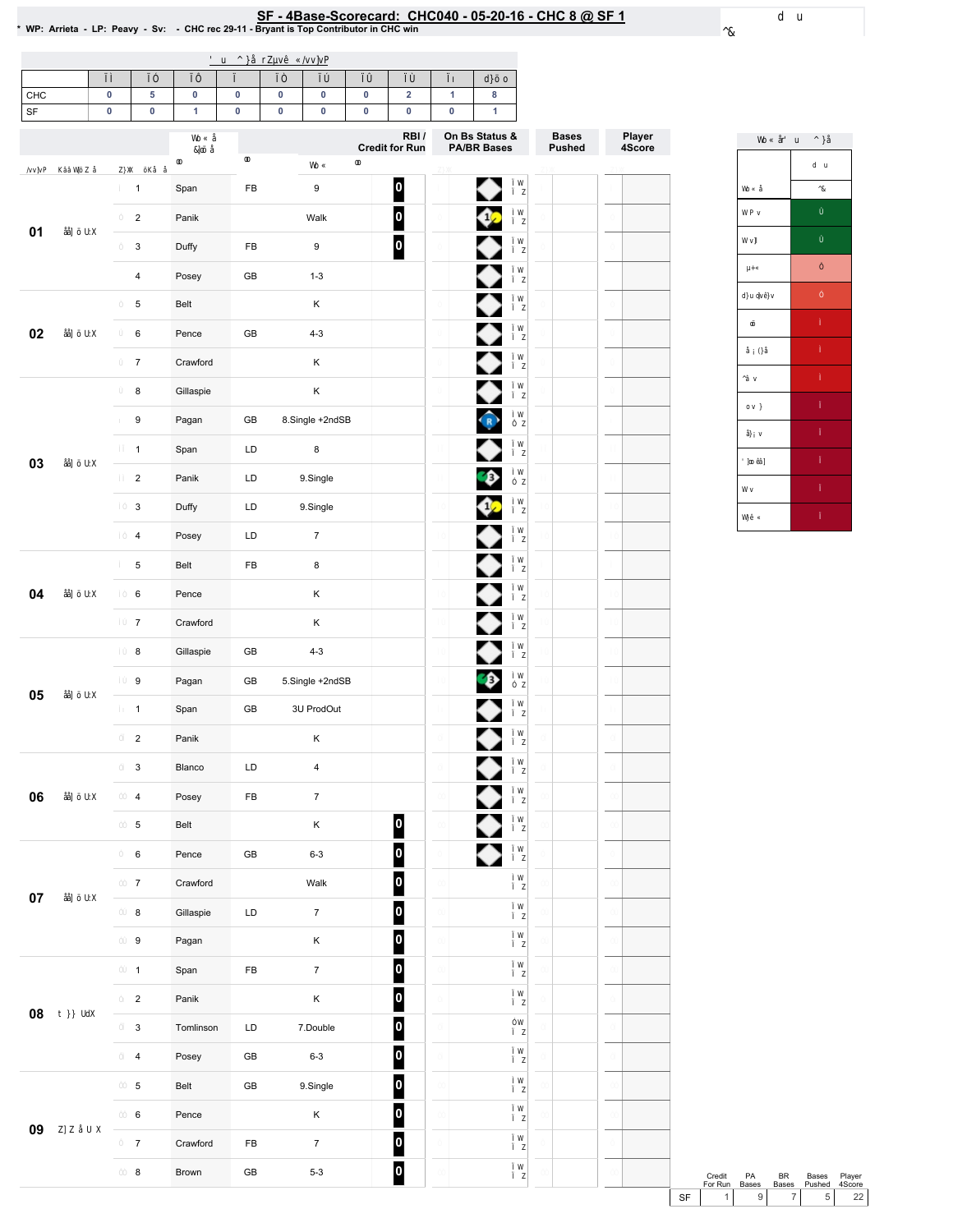## SF - 4Base-Scorecard: CHC040 - 05-20-16 - CHC 8 @ SF 1 & wP: Arrieta - LP: Peavy - Sv: - CHC rec 29-11 - Bryant is Top Contributor in CHC win

| CHC                      | $\pmb{0}$ | 5                       | $\pmb{0}$    | $\pmb{0}$     | $\pmb{0}$ | $\pmb{0}$        | $\pmb{0}$ | $\mathbf 2$             | $\mathbf{1}$ | $\bf8$                         |              |                  |
|--------------------------|-----------|-------------------------|--------------|---------------|-----------|------------------|-----------|-------------------------|--------------|--------------------------------|--------------|------------------|
| $\overline{\mathsf{SF}}$ | 0         | 0                       | $\mathbf{1}$ | $\pmb{0}$     | $\pmb{0}$ | $\pmb{0}$        | $\pmb{0}$ | $\pmb{0}$<br>RBI/       | $\pmb{0}$    | $\mathbf{1}$<br>On Bs Status & | <b>Bases</b> |                  |
|                          |           |                         |              |               |           |                  |           | <b>Credit for Run</b>   |              | <b>PA/BR Bases</b>             | Pushed       | Player<br>4Score |
|                          |           | $\mathbf{1}$            | Span         | ${\sf FB}$    |           | $\boldsymbol{9}$ |           | 0                       |              | ◆                              |              |                  |
| 01                       |           | $\overline{c}$          | Panik        |               |           | Walk             |           | $\overline{\mathbf{0}}$ |              | Œ                              |              |                  |
|                          |           | 3                       | Duffy        | ${\sf FB}$    |           | $\boldsymbol{9}$ |           | $\overline{\mathbf{0}}$ |              |                                |              |                  |
|                          |           | 4                       | Posey        | $\mathsf{GB}$ |           | $1 - 3$          |           |                         |              |                                |              |                  |
|                          |           | 5                       | Belt         |               |           | K                |           |                         |              |                                |              |                  |
| 02                       |           | 6                       | Pence        | $\mathsf{GB}$ |           | $4 - 3$          |           |                         |              |                                |              |                  |
|                          |           | $\overline{7}$          | Crawford     |               |           | Κ                |           |                         |              |                                |              |                  |
|                          |           | 8                       | Gillaspie    |               |           | K                |           |                         |              |                                |              |                  |
|                          |           | 9                       | Pagan        | $\mathsf{GB}$ |           | 8.Single +2ndSB  |           |                         |              | $\widehat{R}$                  |              |                  |
| 03                       |           | $\mathbf{1}$            | Span         | LD            |           | 8                |           |                         |              |                                |              |                  |
|                          |           | $\overline{c}$          | Panik        | LD            |           | 9.Single         |           |                         |              | €                              |              |                  |
|                          |           | 3                       | Duffy        | LD            |           | 9.Single         |           |                         |              | œ                              |              |                  |
|                          |           | $\overline{\mathbf{4}}$ | Posey        | LD            |           | $\boldsymbol{7}$ |           |                         |              |                                |              |                  |
|                          |           | 5                       | Belt         | ${\sf FB}$    |           | 8                |           |                         |              |                                |              |                  |
| 04                       |           | 6                       | Pence        |               |           | Κ                |           |                         |              |                                |              |                  |
|                          |           | $\overline{7}$          | Crawford     |               |           | Κ                |           |                         |              |                                |              |                  |
|                          |           | 8                       | Gillaspie    | GB            |           | $4 - 3$          |           |                         |              |                                |              |                  |
| 05                       |           | 9                       | Pagan        | ${\sf GB}$    |           | 5.Single +2ndSB  |           |                         |              | ♦                              |              |                  |
|                          |           | $\mathbf{1}$            | Span         | $\mathsf{GB}$ |           | 3U ProdOut       |           |                         |              |                                |              |                  |
|                          |           | $\overline{c}$          | Panik        |               |           | Κ                |           |                         |              |                                |              |                  |
|                          |           | 3                       | Blanco       | LD            |           | 4                |           |                         |              | ╱                              |              |                  |
| 06                       |           | $\overline{\mathbf{4}}$ | Posey        | ${\sf FB}$    |           | $\overline{7}$   |           |                         |              | ♦                              |              |                  |
|                          |           | 5                       | Belt         |               |           | Κ                |           | $\overline{\mathbf{0}}$ |              | ♦                              |              |                  |
|                          |           | 6                       | Pence        | ${\sf GB}$    |           | $6 - 3$          |           | $\overline{\mathbf{0}}$ |              | ◆                              |              |                  |
| $07\,$                   |           | $\overline{7}$          | Crawford     |               |           | Walk             |           | $\bullet$               |              |                                |              |                  |
|                          |           | 8                       | Gillaspie    | LD            |           | $\boldsymbol{7}$ |           | $\overline{\mathbf{0}}$ |              |                                |              |                  |
|                          |           | 9                       | Pagan        |               |           | K                |           | $\overline{\mathbf{0}}$ |              |                                |              |                  |
|                          |           | $\mathbf{1}$            | Span         | ${\sf FB}$    |           | $\boldsymbol{7}$ |           | $\overline{\mathbf{0}}$ |              |                                |              |                  |
| 08                       |           | $\mathbf 2$             | Panik        |               |           | Κ                |           | $\overline{\mathbf{0}}$ |              |                                |              |                  |
|                          |           | $\mathsf 3$             | Tomlinson    | LD            |           | 7.Double         |           | $\overline{\mathbf{0}}$ |              |                                |              |                  |
|                          |           | 4                       | Posey        | ${\sf GB}$    |           | $6 - 3$          |           | $\overline{\mathbf{0}}$ |              |                                |              |                  |
|                          |           | 5                       | Belt         | $\mathsf{GB}$ |           | 9.Single         |           | $\overline{\mathbf{0}}$ |              |                                |              |                  |
| 09                       |           | 6                       | Pence        |               |           | Κ                |           | $\overline{\mathbf{0}}$ |              |                                |              |                  |
|                          |           | $\boldsymbol{7}$        | Crawford     | ${\sf FB}$    |           | $\boldsymbol{7}$ |           | $\mathbf{0}$            |              |                                |              |                  |
|                          |           | 8                       | Brown        | ${\sf GB}$    |           | $5-3$            |           | $\mathbf{0}$            |              |                                |              |                  |



Credit PA BR Bases Player<br>
ForRun Bases Bases Pushed 4Score<br>
SF 1 9 7 5 22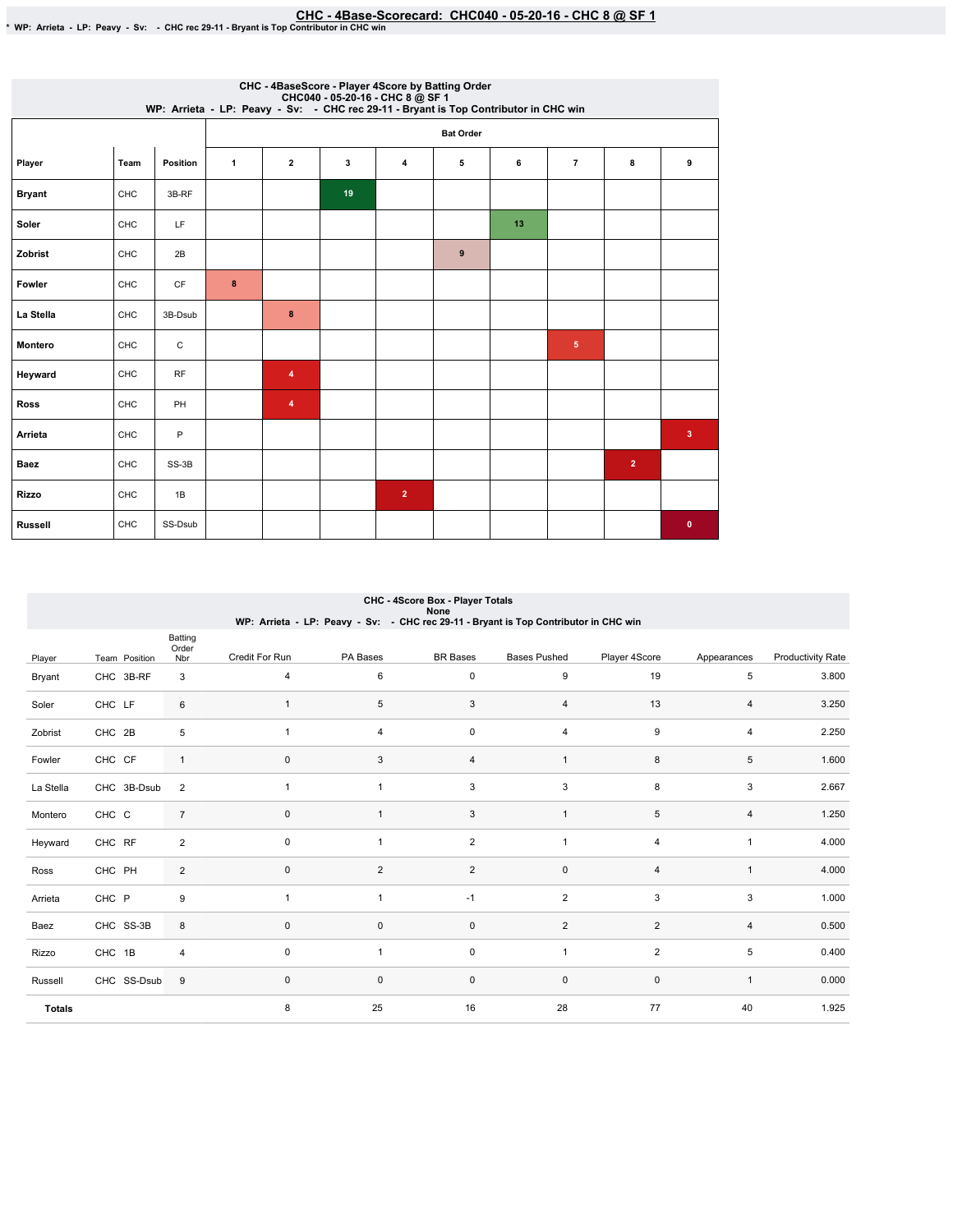| CHC - 4BaseScore - Player 4Score by Batting Order<br>CHC040 - 05-20-16 - CHC 8 @ SF 1<br>WP: Arrieta - LP: Peavy - Sv: - CHC rec 29-11 - Bryant is Top Contributor in CHC win |      |                 |              |              |    |                |                  |    |                 |                |                |  |
|-------------------------------------------------------------------------------------------------------------------------------------------------------------------------------|------|-----------------|--------------|--------------|----|----------------|------------------|----|-----------------|----------------|----------------|--|
|                                                                                                                                                                               |      |                 |              |              |    |                | <b>Bat Order</b> |    |                 |                |                |  |
| Player                                                                                                                                                                        | Team | <b>Position</b> | $\mathbf{1}$ | $\mathbf{2}$ | 3  | 4              | 5                | 6  | $\overline{7}$  | 8              | 9              |  |
| <b>Bryant</b>                                                                                                                                                                 | CHC  | 3B-RF           |              |              | 19 |                |                  |    |                 |                |                |  |
| Soler                                                                                                                                                                         | CHC  | LF              |              |              |    |                |                  | 13 |                 |                |                |  |
| Zobrist                                                                                                                                                                       | CHC  | 2B              |              |              |    |                | 9                |    |                 |                |                |  |
| Fowler                                                                                                                                                                        | CHC  | CF              | $\bf8$       |              |    |                |                  |    |                 |                |                |  |
| La Stella                                                                                                                                                                     | CHC  | 3B-Dsub         |              | 8            |    |                |                  |    |                 |                |                |  |
| <b>Montero</b>                                                                                                                                                                | CHC  | C               |              |              |    |                |                  |    | $5\phantom{.0}$ |                |                |  |
| Heyward                                                                                                                                                                       | CHC  | <b>RF</b>       |              | 4            |    |                |                  |    |                 |                |                |  |
| <b>Ross</b>                                                                                                                                                                   | CHC  | PH              |              | 4            |    |                |                  |    |                 |                |                |  |
| Arrieta                                                                                                                                                                       | CHC  | P               |              |              |    |                |                  |    |                 |                | 3 <sup>2</sup> |  |
| Baez                                                                                                                                                                          | CHC  | SS-3B           |              |              |    |                |                  |    |                 | $\overline{2}$ |                |  |
| <b>Rizzo</b>                                                                                                                                                                  | CHC  | 1B              |              |              |    | $\overline{2}$ |                  |    |                 |                |                |  |
| <b>Russell</b>                                                                                                                                                                | CHC  | SS-Dsub         |              |              |    |                |                  |    |                 |                | $\mathbf 0$    |  |

| CHC - 4Score Box - Player Totals<br>None<br>WP: Arrieta - LP: Peavy - Sv: - CHC rec 29-11 - Bryant is Top Contributor in CHC win |               |                         |                |                |                 |                     |                |                |                          |  |  |  |
|----------------------------------------------------------------------------------------------------------------------------------|---------------|-------------------------|----------------|----------------|-----------------|---------------------|----------------|----------------|--------------------------|--|--|--|
| Player                                                                                                                           | Team Position | Batting<br>Order<br>Nbr | Credit For Run | PA Bases       | <b>BR</b> Bases | <b>Bases Pushed</b> | Player 4Score  | Appearances    | <b>Productivity Rate</b> |  |  |  |
| Bryant                                                                                                                           | CHC 3B-RF     | 3                       | $\overline{4}$ | 6              | $\mathbf 0$     | 9                   | 19             | 5              | 3.800                    |  |  |  |
| Soler                                                                                                                            | CHC LF        | 6                       | $\mathbf{1}$   | 5              | 3               | $\overline{4}$      | 13             | 4              | 3.250                    |  |  |  |
| Zobrist                                                                                                                          | CHC 2B        | 5                       | $\mathbf{1}$   | 4              | $\mathbf 0$     | $\overline{4}$      | 9              | 4              | 2.250                    |  |  |  |
| Fowler                                                                                                                           | CHC CF        | $\mathbf{1}$            | $\pmb{0}$      | 3              | $\overline{4}$  | $\mathbf{1}$        | 8              | 5              | 1.600                    |  |  |  |
| La Stella                                                                                                                        | CHC 3B-Dsub   | 2                       | $\mathbf{1}$   | $\overline{1}$ | 3               | 3                   | 8              | 3              | 2.667                    |  |  |  |
| Montero                                                                                                                          | CHC C         | $\overline{7}$          | $\pmb{0}$      |                | 3               | $\mathbf{1}$        | 5              | 4              | 1.250                    |  |  |  |
| Heyward                                                                                                                          | CHC RF        | $\overline{2}$          | $\pmb{0}$      | $\mathbf{1}$   | $\overline{2}$  | $\mathbf{1}$        | $\overline{4}$ | $\mathbf{1}$   | 4.000                    |  |  |  |
| Ross                                                                                                                             | CHC PH        | 2                       | $\mathbf 0$    | $\overline{2}$ | 2               | 0                   | $\overline{4}$ | $\mathbf{1}$   | 4.000                    |  |  |  |
| Arrieta                                                                                                                          | CHC P         | 9                       | $\mathbf{1}$   |                | $-1$            | $\overline{2}$      | 3              | 3              | 1.000                    |  |  |  |
| Baez                                                                                                                             | CHC SS-3B     | 8                       | $\mathbf 0$    | $\mathbf{0}$   | $\mathbf 0$     | 2                   | $\overline{2}$ | $\overline{4}$ | 0.500                    |  |  |  |
| Rizzo                                                                                                                            | CHC 1B        | $\overline{4}$          | $\mathbf 0$    | $\overline{1}$ | $\mathbf 0$     | $\mathbf{1}$        | $\overline{2}$ | 5              | 0.400                    |  |  |  |
| Russell                                                                                                                          | CHC SS-Dsub   | $9\,$                   | $\pmb{0}$      | $\mathbf 0$    | $\pmb{0}$       | $\mathsf{O}\xspace$ | $\mathbf 0$    | $\mathbf{1}$   | 0.000                    |  |  |  |
| <b>Totals</b>                                                                                                                    |               |                         | 8              | 25             | 16              | 28                  | 77             | 40             | 1.925                    |  |  |  |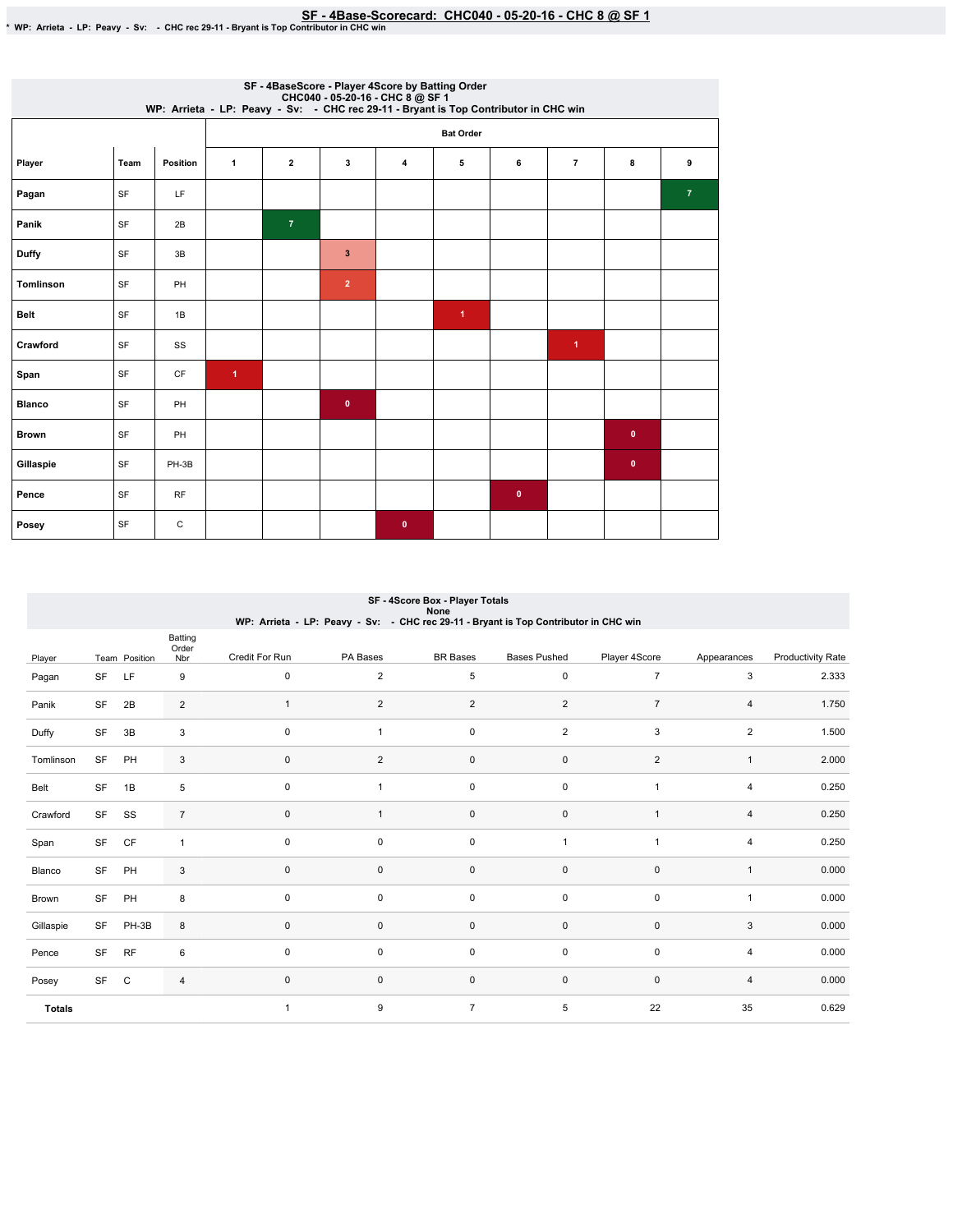|                  | SF - 4BaseScore - Player 4Score by Batting Order<br>CHC040 - 05-20-16 - CHC 8 @ SF 1<br>WP: Arrieta - LP: Peavy - Sv: - CHC rec 29-11 - Bryant is Top Contributor in CHC win |                 |                      |                |                |                |                      |           |                      |             |                |  |  |
|------------------|------------------------------------------------------------------------------------------------------------------------------------------------------------------------------|-----------------|----------------------|----------------|----------------|----------------|----------------------|-----------|----------------------|-------------|----------------|--|--|
|                  |                                                                                                                                                                              |                 |                      |                |                |                | <b>Bat Order</b>     |           |                      |             |                |  |  |
| Player           | Team                                                                                                                                                                         | <b>Position</b> | $\mathbf{1}$         | $\mathbf{2}$   | 3              | $\overline{4}$ | 5                    | 6         | $\overline{7}$       | 8           | 9              |  |  |
| Pagan            | SF                                                                                                                                                                           | LF              |                      |                |                |                |                      |           |                      |             | $\overline{7}$ |  |  |
| Panik            | SF                                                                                                                                                                           | 2B              |                      | $\overline{7}$ |                |                |                      |           |                      |             |                |  |  |
| <b>Duffy</b>     | SF                                                                                                                                                                           | 3B              |                      |                | $\mathbf{3}$   |                |                      |           |                      |             |                |  |  |
| <b>Tomlinson</b> | SF                                                                                                                                                                           | PH              |                      |                | $\overline{2}$ |                |                      |           |                      |             |                |  |  |
| <b>Belt</b>      | SF                                                                                                                                                                           | 1B              |                      |                |                |                | $\blacktriangleleft$ |           |                      |             |                |  |  |
| Crawford         | SF                                                                                                                                                                           | SS              |                      |                |                |                |                      |           | $\blacktriangleleft$ |             |                |  |  |
| Span             | SF                                                                                                                                                                           | CF              | $\blacktriangleleft$ |                |                |                |                      |           |                      |             |                |  |  |
| <b>Blanco</b>    | SF                                                                                                                                                                           | PH              |                      |                | $\bullet$      |                |                      |           |                      |             |                |  |  |
| <b>Brown</b>     | SF                                                                                                                                                                           | PH              |                      |                |                |                |                      |           |                      | $\bullet$   |                |  |  |
| Gillaspie        | SF                                                                                                                                                                           | PH-3B           |                      |                |                |                |                      |           |                      | $\mathbf 0$ |                |  |  |
| Pence            | SF                                                                                                                                                                           | RF              |                      |                |                |                |                      | $\bullet$ |                      |             |                |  |  |
| Posey            | SF                                                                                                                                                                           | С               |                      |                |                | $\mathbf{0}$   |                      |           |                      |             |                |  |  |

## SF - 4Score Box - Player Totals<br>None

|  | WP: Arrieta - LP: Peavy - Sv: - CHC rec 29-11 - Bryant is Top Contributor in CHC win |
|--|--------------------------------------------------------------------------------------|
|--|--------------------------------------------------------------------------------------|

|               |    |               | Batting<br>Order |                |                     |                     |                     |                |                         |                          |
|---------------|----|---------------|------------------|----------------|---------------------|---------------------|---------------------|----------------|-------------------------|--------------------------|
| Player        |    | Team Position | Nbr              | Credit For Run | PA Bases            | <b>BR</b> Bases     | <b>Bases Pushed</b> | Player 4Score  | Appearances             | <b>Productivity Rate</b> |
| Pagan         | SF | LF            | 9                | $\mathbf 0$    | $\overline{c}$      | 5                   | $\mathsf 0$         | $\overline{7}$ | 3                       | 2.333                    |
| Panik         | SF | 2B            | $\overline{2}$   | $\overline{1}$ | $\overline{2}$      | $\overline{c}$      | 2                   | $\overline{7}$ | 4                       | 1.750                    |
| Duffy         | SF | 3B            | $\mathsf 3$      | $\mathbf 0$    |                     | $\mathsf 0$         | $\overline{2}$      | 3              | $\overline{\mathbf{c}}$ | 1.500                    |
| Tomlinson     | SF | PH            | 3                | $\mathbf 0$    | $\overline{2}$      | $\mathsf{O}\xspace$ | $\mathsf 0$         | $\overline{2}$ | $\mathbf{1}$            | 2.000                    |
| Belt          | SF | 1B            | 5                | $\mathbf 0$    | $\mathbf{1}$        | $\mathsf 0$         | $\mathsf 0$         | $\overline{1}$ | 4                       | 0.250                    |
| Crawford      | SF | SS            | $\overline{7}$   | $\mathbf{0}$   |                     | $\mathsf{O}\xspace$ | $\pmb{0}$           |                | $\overline{4}$          | 0.250                    |
| Span          | SF | CF            | 1                | $\mathbf 0$    | $\mathsf 0$         | $\mathsf{O}\xspace$ | 1                   | $\overline{1}$ | 4                       | 0.250                    |
| Blanco        | SF | PH            | 3                | $\mathbf 0$    | $\mathsf 0$         | $\mathsf 0$         | $\mathsf 0$         | $\pmb{0}$      | $\mathbf{1}$            | 0.000                    |
| Brown         | SF | PH            | 8                | $\mathbf 0$    | 0                   | $\mathsf{O}\xspace$ | $\mathsf 0$         | $\pmb{0}$      | $\mathbf{1}$            | 0.000                    |
| Gillaspie     | SF | PH-3B         | 8                | $\mathbf 0$    | $\mathsf 0$         | $\mathsf{O}\xspace$ | $\mathsf 0$         | $\pmb{0}$      | 3                       | 0.000                    |
| Pence         | SF | <b>RF</b>     | 6                | $\mathbf 0$    | $\mathsf{O}\xspace$ | $\mathsf 0$         | $\mathsf 0$         | $\mathsf 0$    | 4                       | 0.000                    |
| Posey         | SF | C             | $\overline{4}$   | $\mathbf 0$    | $\mathsf 0$         | $\mathsf{O}\xspace$ | $\mathsf 0$         | $\pmb{0}$      | 4                       | 0.000                    |
| <b>Totals</b> |    |               |                  | $\overline{1}$ | 9                   | $\overline{7}$      | 5                   | 22             | 35                      | 0.629                    |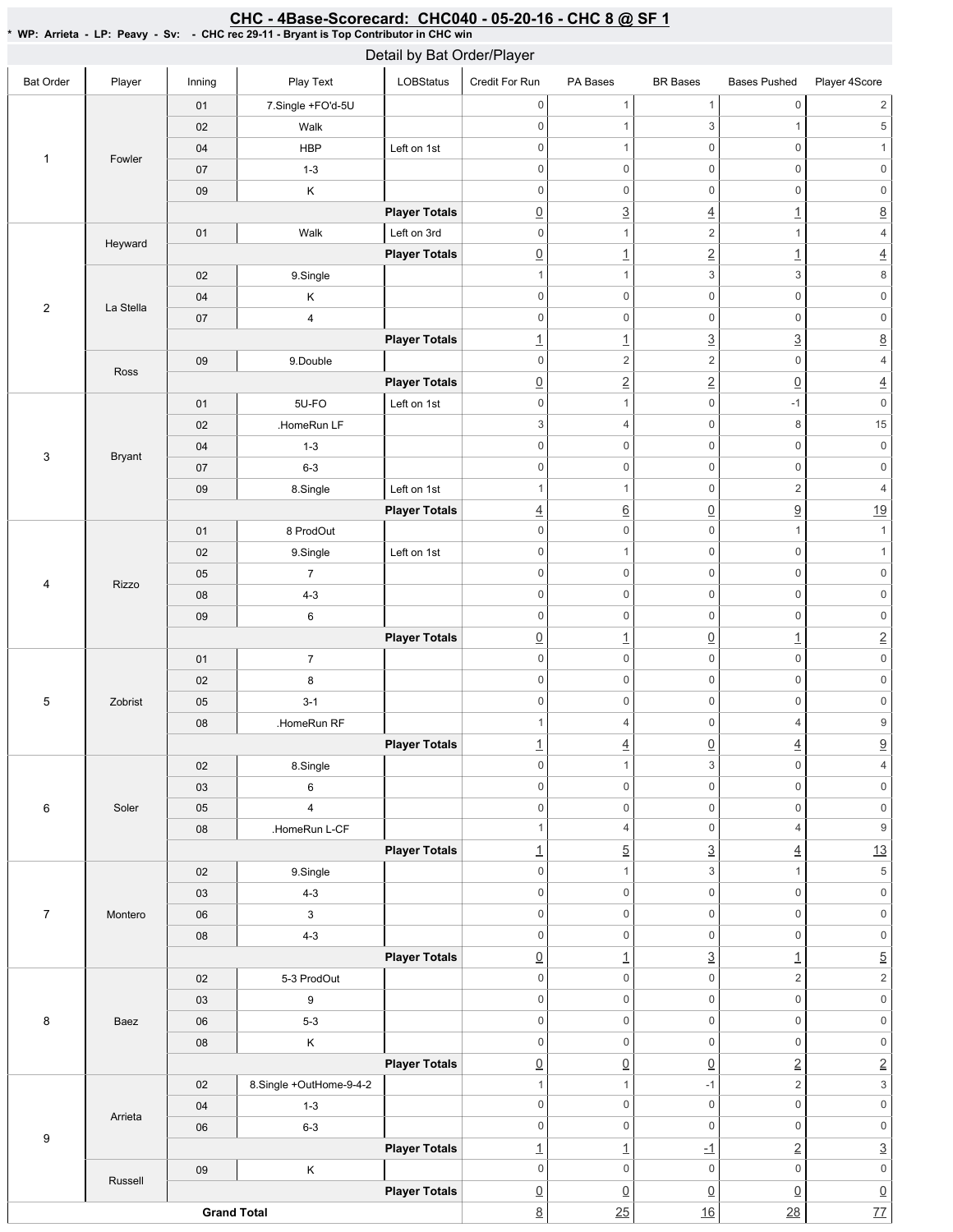|                         |               |        |                         | Detail by Bat Order/Player |                  |                          |                           |                          |                           |
|-------------------------|---------------|--------|-------------------------|----------------------------|------------------|--------------------------|---------------------------|--------------------------|---------------------------|
| <b>Bat Order</b>        | Player        | Inning | Play Text               | LOBStatus                  | Credit For Run   | PA Bases                 | <b>BR</b> Bases           | <b>Bases Pushed</b>      | Player 4Score             |
|                         |               | 01     | 7.Single +FO'd-5U       |                            | $\mathbb O$      | $\mathbf{1}$             | $\mathbf{1}$              | $\mathsf 0$              | $\overline{c}$            |
|                         |               | 02     | Walk                    |                            | $\boldsymbol{0}$ | $\mathbf{1}$             | 3                         | $\mathbf{1}$             | $\,$ 5 $\,$               |
| $\mathbf{1}$            | Fowler        | 04     | <b>HBP</b>              | Left on 1st                | $\mathbf 0$      | $\mathbf{1}$             | $\mathsf 0$               | $\mathsf 0$              | $\mathbf{1}$              |
|                         |               | 07     | $1 - 3$                 |                            | $\mathbf 0$      | $\mathsf{O}\xspace$      | $\mathsf 0$               | $\mathsf{O}\xspace$      | $\mathbf 0$               |
|                         |               | 09     | Κ                       |                            | $\mathbf 0$      | $\mathsf{O}\xspace$      | 0                         | $\mathsf 0$              | $\mathsf{O}\xspace$       |
|                         |               |        |                         | <b>Player Totals</b>       | $\underline{0}$  | $\underline{3}$          | $\overline{4}$            | $\overline{1}$           | $\underline{8}$           |
|                         | Heyward       | 01     | Walk                    | Left on 3rd                | $\boldsymbol{0}$ | $\mathbf{1}$             | $\overline{c}$            | $\mathbf{1}$             | $\overline{4}$            |
|                         |               |        |                         | <b>Player Totals</b>       | $\underline{0}$  | $\overline{1}$           | $\overline{2}$            | $\underline{\mathbf{1}}$ | $\overline{4}$            |
|                         |               | 02     | 9.Single                |                            | $\overline{1}$   | $\mathbf{1}$             | 3                         | 3                        | $\,8\,$                   |
| $\overline{2}$          | La Stella     | 04     | Κ                       |                            | $\mathbf 0$      | $\mathsf{O}\xspace$      | $\mathsf{O}\xspace$       | $\mathsf 0$              | $\mathsf{O}\xspace$       |
|                         |               | 07     | $\pmb{4}$               |                            | $\mathbf 0$      | $\mathsf{O}\xspace$      | $\mathsf{O}\xspace$       | $\mathsf{O}\xspace$      | $\mathsf{O}\xspace$       |
|                         |               |        |                         | <b>Player Totals</b>       | $\overline{1}$   | $\overline{1}$           | $\underline{3}$           | $\underline{3}$          | $\underline{8}$           |
|                         | Ross          | 09     | 9.Double                |                            | $\mathbf 0$      | $\overline{c}$           | $\sqrt{2}$                | $\mathsf{O}\xspace$      | $\overline{4}$            |
|                         |               |        |                         | <b>Player Totals</b>       | $\underline{0}$  | $\overline{2}$           | $\overline{2}$            | $\underline{0}$          | $\overline{4}$            |
|                         |               | 01     | 5U-FO                   | Left on 1st                | $\mathbf 0$      | $\mathbf{1}$             | $\mathsf 0$               | $-1$                     | $\mathsf{O}\xspace$       |
|                         |               | 02     | .HomeRun LF             |                            | $\sqrt{3}$       | $\overline{4}$           | $\mathsf 0$               | 8                        | $15\,$                    |
| 3                       | <b>Bryant</b> | 04     | $1 - 3$                 |                            | $\boldsymbol{0}$ | $\mathsf{O}\xspace$      | $\mathsf 0$               | $\mathsf{O}\xspace$      | $\mathbf 0$               |
|                         |               | 07     | $6 - 3$                 |                            | $\boldsymbol{0}$ | $\mathsf{O}\xspace$      | $\mathsf 0$               | $\mathsf{O}\xspace$      | $\mathbf 0$               |
|                         |               | 09     | 8.Single                | Left on 1st                | $\overline{1}$   | 1                        | $\mathsf 0$               | 2                        | $\sqrt{4}$                |
|                         |               |        |                         | <b>Player Totals</b>       | $\overline{4}$   | $\underline{6}$          | $\underline{0}$           | $\underline{9}$          | 19                        |
|                         |               | 01     | 8 ProdOut               |                            | $\boldsymbol{0}$ | $\mathsf{O}\xspace$      | $\mathsf 0$               | $\mathbf{1}$             | $\mathbf{1}$              |
|                         |               | 02     | 9.Single                | Left on 1st                | $\mathbf 0$      | $\mathbf{1}$             | $\mathsf 0$               | $\mathsf{O}\xspace$      | $\mathbf{1}$              |
| $\overline{\mathbf{4}}$ |               | 05     | $\overline{7}$          |                            | $\mathbf 0$      | $\mathsf{O}\xspace$      | $\mathsf 0$               | $\mathsf{O}\xspace$      | $\mathsf{O}\xspace$       |
|                         | Rizzo         | 08     | $4 - 3$                 |                            | $\mathbf 0$      | $\mathsf{O}\xspace$      | $\mathsf 0$               | $\mathsf{O}\xspace$      | $\mathsf{O}\xspace$       |
|                         |               | 09     | 6                       |                            | $\boldsymbol{0}$ | $\mathsf{O}\xspace$      | $\mathsf 0$               | $\mathsf{O}\xspace$      | $\mathsf{O}\xspace$       |
|                         |               |        |                         | <b>Player Totals</b>       | $\underline{0}$  | $\underline{\mathbf{1}}$ | $\underline{0}$           | $\underline{\mathbf{1}}$ | $\underline{2}$           |
|                         |               | 01     | $\overline{7}$          |                            | $\mathbf 0$      | $\mathsf{O}\xspace$      | $\mathsf 0$               | $\mathbb O$              | $\mathsf{O}\xspace$       |
|                         |               | 02     | 8                       |                            | $\mathbf 0$      | $\mathsf{O}\xspace$      | $\mathsf 0$               | $\mathsf{O}\xspace$      | $\mathsf{O}\xspace$       |
| 5                       | Zobrist       | 05     | $3 - 1$                 |                            | $\mathbf 0$      | $\mathsf{O}\xspace$      | $\mathsf 0$               | $\mathsf{O}\xspace$      | $\mathsf{O}\xspace$       |
|                         |               | 08     | .HomeRun RF             |                            | $\mathbf{1}$     | $\overline{4}$           | 0                         | 4                        | $\overline{9}$            |
|                         |               |        |                         | <b>Player Totals</b>       | $\overline{1}$   | $\overline{4}$           | $\underline{0}$           | $\overline{4}$           | $\overline{\partial}$     |
|                         |               | 02     | 8.Single                |                            | $\mathbb O$      | $\mathbf{1}$             | 3                         | $\mathsf{O}\xspace$      | $\overline{4}$            |
|                         |               | 03     | 6                       |                            | $\mathbb O$      | $\mathsf{O}\xspace$      | $\mathsf 0$               | $\mathsf 0$              | $\mathsf{O}\xspace$       |
| 6                       | Soler         | 05     | $\overline{4}$          |                            | $\mathbf 0$      | $\mathsf{O}\xspace$      | $\mathsf 0$               | $\mathbb O$              | $\mathsf{O}\xspace$       |
|                         |               | 08     | .HomeRun L-CF           |                            | $\overline{1}$   | $\overline{4}$           | $\mathsf 0$               | $\overline{4}$           | $\boldsymbol{9}$          |
|                         |               |        |                         | <b>Player Totals</b>       | $\overline{1}$   | $\overline{5}$           | $\underline{3}$           | $\underline{4}$          | 13                        |
|                         |               | 02     | 9.Single                |                            | $\mathbb O$      | $\mathbf{1}$             | 3                         | $\mathbf{1}$             | $\sqrt{5}$                |
|                         |               | 03     | $4 - 3$                 |                            | $\,0\,$          | $\mathsf{O}\xspace$      | $\mathsf 0$               | $\mathbb O$              | $\mathsf{O}\xspace$       |
| $\overline{7}$          | Montero       | 06     | $\mathbf{3}$            |                            | $\mathbb O$      | $\mathsf{O}\xspace$      | $\mathsf{O}\xspace$       | $\mathbf 0$              | $\mathsf{O}\xspace$       |
|                         |               | 08     | $4 - 3$                 |                            | $\mathbb O$      | $\mathbf 0$              | $\mathsf 0$               | $\mathbf 0$              | $\mathsf{O}\xspace$       |
|                         |               |        |                         | <b>Player Totals</b>       | $\underline{0}$  | $\overline{1}$           | $\underline{3}$           | $\overline{1}$           | $\overline{5}$            |
|                         |               | 02     | 5-3 ProdOut             |                            | $\mathbb O$      | $\mathsf{O}\xspace$      | $\mathsf 0$               | $\overline{c}$           | $\overline{2}$            |
|                         |               | 03     | 9                       |                            | $\mathsf 0$      | $\mathsf{O}\xspace$      | $\mathsf 0$               | $\mathsf 0$              | $\mathsf{O}\xspace$       |
| 8                       | Baez          | 06     | $5 - 3$                 |                            | $\mathbb O$      | $\mathsf{O}\xspace$      | 0                         | $\mathsf{O}\xspace$      | $\mathsf{O}\xspace$       |
|                         |               | 08     | Κ                       |                            | $\mathsf 0$      | $\mathbf 0$              | $\mathsf 0$               | $\mathbb O$              | $\mathsf{O}\xspace$       |
|                         |               |        |                         | <b>Player Totals</b>       | $\underline{0}$  | $\underline{0}$          | $\underline{0}$           | $\underline{2}$          | $\underline{2}$           |
|                         |               | 02     | 8.Single +OutHome-9-4-2 |                            | $\mathbf{1}$     | $\mathbf{1}$             | $-1$                      | $\overline{2}$           | $\ensuremath{\mathsf{3}}$ |
|                         |               | 04     | $1 - 3$                 |                            | $\mathbf 0$      | $\mathsf{O}\xspace$      | $\mathsf{O}\xspace$       | $\mathsf{O}\xspace$      | $\mathsf{O}\xspace$       |
|                         | Arrieta       | 06     | $6 - 3$                 |                            | $\mathbf 0$      | $\mathbf 0$              | $\mathsf 0$               | $\mathbb O$              | $\mathsf{0}$              |
| 9                       |               |        |                         | <b>Player Totals</b>       | $\overline{1}$   | $\overline{1}$           | $\underline{\textbf{-1}}$ | $\underline{2}$          | $\underline{3}$           |
|                         |               | 09     | $\sf K$                 |                            | $\mathbb O$      | $\mathbf 0$              | $\mathsf{O}\xspace$       | $\mathbb O$              | $\mathsf{O}\xspace$       |
|                         | Russell       |        |                         | <b>Player Totals</b>       | $\underline{0}$  | $\underline{0}$          | $\underline{0}$           | $\underline{0}$          | $\underline{0}$           |
|                         |               |        | <b>Grand Total</b>      |                            | $\underline{8}$  | 25                       | 16                        | $\underline{28}$         | $\frac{77}{4}$            |

CHC - 4Base-Scorecard: CHC040 - 05-20-16 - CHC 8 @ SF 1